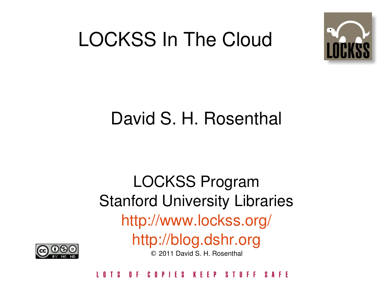#### LOCKSS In The Cloud



#### David S. H. Rosenthal

#### LOCKSS Program Stanford University Libraries <http://www.lockss.org/> [http://blog.dshr.org](http://blog.dshr.org/) © 2011 David S. H. Rosenthal



n F COPIES KEEP STUFF **SAFF**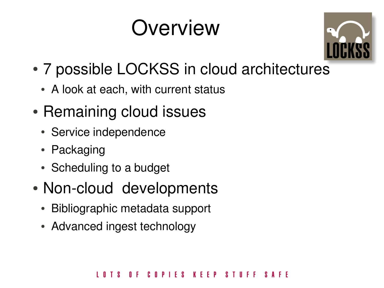#### **Overview**



- 7 possible LOCKSS in cloud architectures
	- A look at each, with current status
- Remaining cloud issues
	- Service independence
	- Packaging
	- Scheduling to a budget
- Non-cloud developments
	- Bibliographic metadata support
	- Advanced ingest technology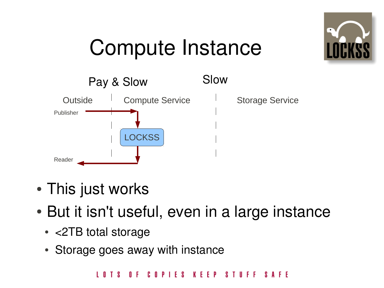

# Compute Instance



- This just works
- But it isn't useful, even in a large instance
	- <2TB total storage
	- Storage goes away with instance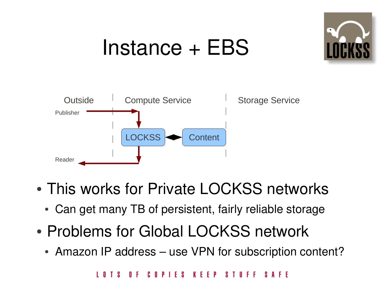

#### Instance + EBS



- This works for Private LOCKSS networks
	- Can get many TB of persistent, fairly reliable storage
- Problems for Global LOCKSS network
	- Amazon IP address use VPN for subscription content?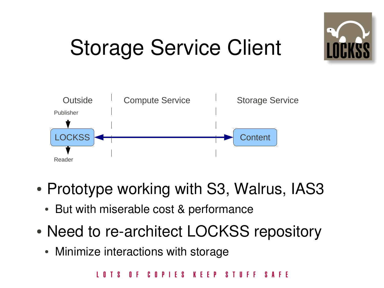

# Storage Service Client



- Prototype working with S3, Walrus, IAS3
	- But with miserable cost & performance
- Need to re-architect LOCKSS repository
	- Minimize interactions with storage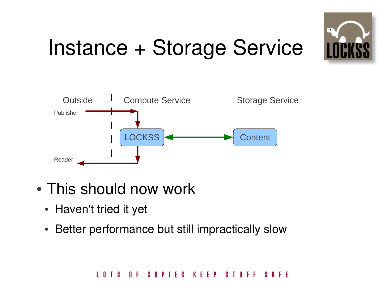

# Instance + Storage Service



- This should now work
	- Haven't tried it yet
	- Better performance but still impractically slow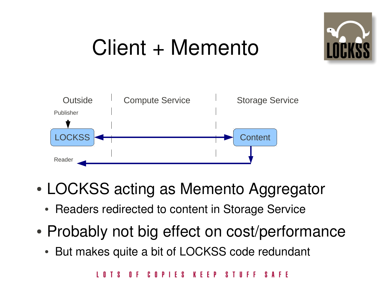

# Client + Memento



- LOCKSS acting as Memento Aggregator
	- Readers redirected to content in Storage Service
- Probably not big effect on cost/performance
	- But makes quite a bit of LOCKSS code redundant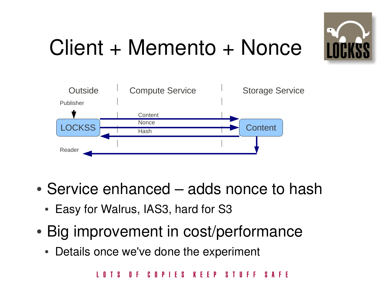

# Client + Memento + Nonce



- Service enhanced adds nonce to hash
	- Easy for Walrus, IAS3, hard for S3
- Big improvement in cost/performance
	- Details once we've done the experiment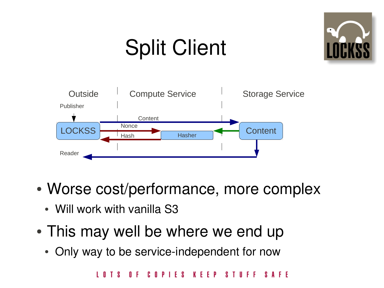# Split Client





- Worse cost/performance, more complex
	- Will work with vanilla S3
- This may well be where we end up
	- Only way to be service-independent for now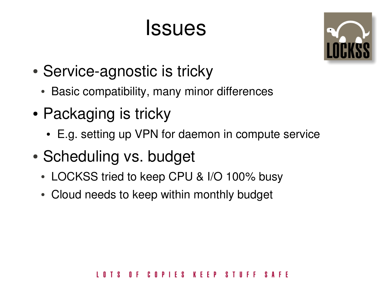#### **Issues**



- Service-agnostic is tricky
	- Basic compatibility, many minor differences
- Packaging is tricky
	- E.g. setting up VPN for daemon in compute service
- Scheduling vs. budget
	- LOCKSS tried to keep CPU & I/O 100% busy
	- Cloud needs to keep within monthly budget